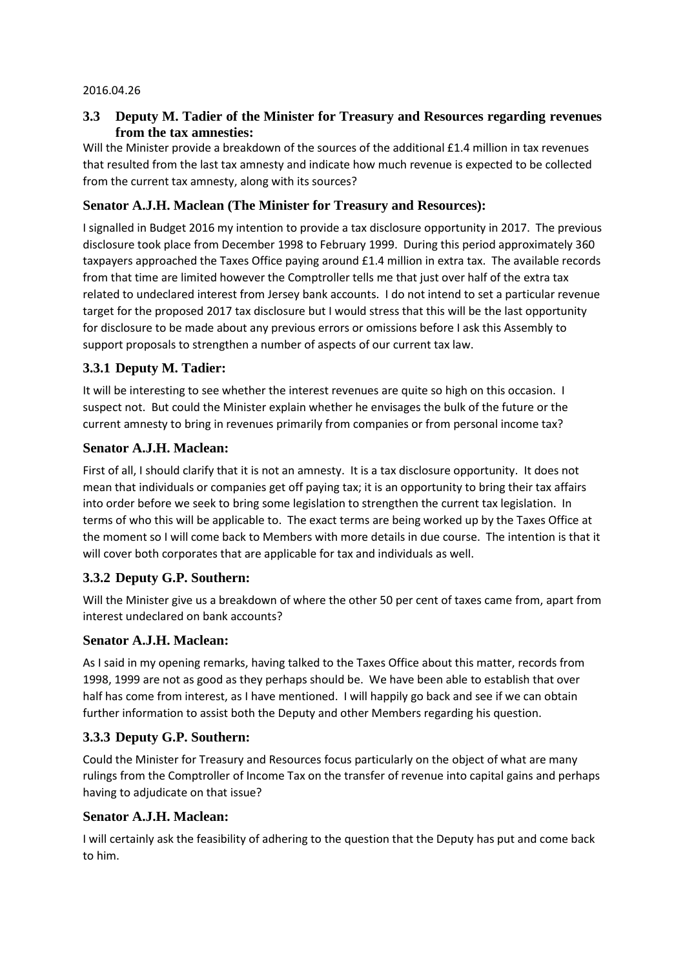#### 2016.04.26

# **3.3 Deputy M. Tadier of the Minister for Treasury and Resources regarding revenues from the tax amnesties:**

Will the Minister provide a breakdown of the sources of the additional £1.4 million in tax revenues that resulted from the last tax amnesty and indicate how much revenue is expected to be collected from the current tax amnesty, along with its sources?

# **Senator A.J.H. Maclean (The Minister for Treasury and Resources):**

I signalled in Budget 2016 my intention to provide a tax disclosure opportunity in 2017. The previous disclosure took place from December 1998 to February 1999. During this period approximately 360 taxpayers approached the Taxes Office paying around £1.4 million in extra tax. The available records from that time are limited however the Comptroller tells me that just over half of the extra tax related to undeclared interest from Jersey bank accounts. I do not intend to set a particular revenue target for the proposed 2017 tax disclosure but I would stress that this will be the last opportunity for disclosure to be made about any previous errors or omissions before I ask this Assembly to support proposals to strengthen a number of aspects of our current tax law.

## **3.3.1 Deputy M. Tadier:**

It will be interesting to see whether the interest revenues are quite so high on this occasion. I suspect not. But could the Minister explain whether he envisages the bulk of the future or the current amnesty to bring in revenues primarily from companies or from personal income tax?

#### **Senator A.J.H. Maclean:**

First of all, I should clarify that it is not an amnesty. It is a tax disclosure opportunity. It does not mean that individuals or companies get off paying tax; it is an opportunity to bring their tax affairs into order before we seek to bring some legislation to strengthen the current tax legislation. In terms of who this will be applicable to. The exact terms are being worked up by the Taxes Office at the moment so I will come back to Members with more details in due course. The intention is that it will cover both corporates that are applicable for tax and individuals as well.

## **3.3.2 Deputy G.P. Southern:**

Will the Minister give us a breakdown of where the other 50 per cent of taxes came from, apart from interest undeclared on bank accounts?

## **Senator A.J.H. Maclean:**

As I said in my opening remarks, having talked to the Taxes Office about this matter, records from 1998, 1999 are not as good as they perhaps should be. We have been able to establish that over half has come from interest, as I have mentioned. I will happily go back and see if we can obtain further information to assist both the Deputy and other Members regarding his question.

## **3.3.3 Deputy G.P. Southern:**

Could the Minister for Treasury and Resources focus particularly on the object of what are many rulings from the Comptroller of Income Tax on the transfer of revenue into capital gains and perhaps having to adjudicate on that issue?

#### **Senator A.J.H. Maclean:**

I will certainly ask the feasibility of adhering to the question that the Deputy has put and come back to him.